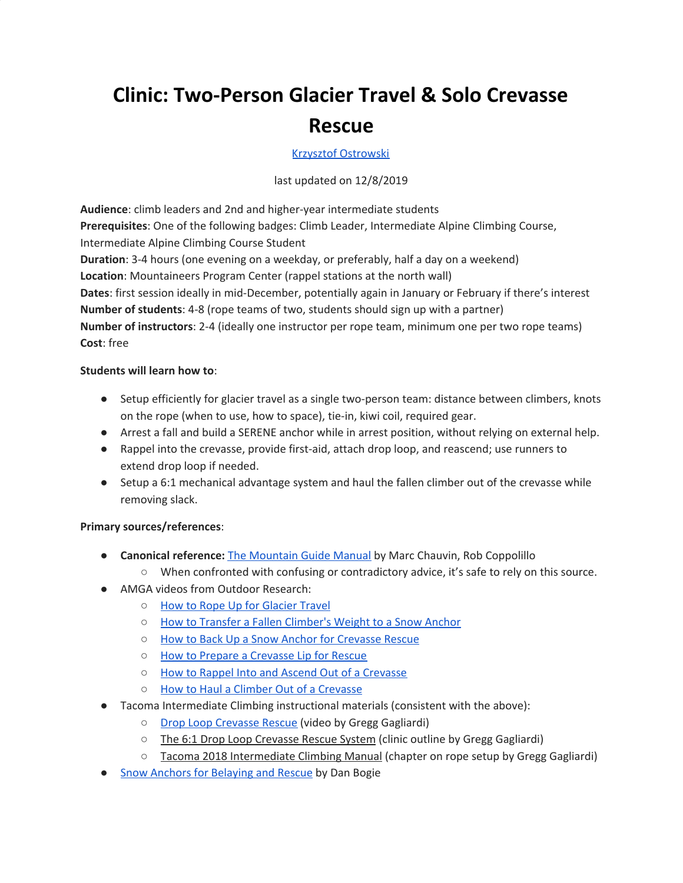# **Clinic: Two-Person Glacier Travel & Solo Crevasse Rescue**

### Krzysztof [Ostrowski](https://www.mountaineers.org/members/krzysztof-ostrowski)

#### last updated on 12/8/2019

**Audience**: climb leaders and 2nd and higher-year intermediate students **Prerequisites**: One of the following badges: Climb Leader, Intermediate Alpine Climbing Course, Intermediate Alpine Climbing Course Student **Duration**: 3-4 hours (one evening on a weekday, or preferably, half a day on a weekend) **Location**: Mountaineers Program Center (rappel stations at the north wall) **Dates**: first session ideally in mid-December, potentially again in January or February if there's interest **Number of students**: 4-8 (rope teams of two, students should sign up with a partner) **Number of instructors**: 2-4 (ideally one instructor per rope team, minimum one per two rope teams) **Cost**: free

#### **Students will learn how to**:

- Setup efficiently for glacier travel as a single two-person team: distance between climbers, knots on the rope (when to use, how to space), tie-in, kiwi coil, required gear.
- Arrest a fall and build a SERENE anchor while in arrest position, without relying on external help.
- Rappel into the crevasse, provide first-aid, attach drop loop, and reascend; use runners to extend drop loop if needed.
- Setup a 6:1 mechanical advantage system and haul the fallen climber out of the crevasse while removing slack.

## **Primary sources/references**:

- **Canonical reference:** The [Mountain](http://www.chauvinguides.com/the-book/) Guide Manual by Marc Chauvin, Rob Coppolillo
	- When confronted with confusing or contradictory advice, it's safe to rely on this source.
- AMGA videos from Outdoor Research:
	- How to Rope Up for [Glacier](https://www.youtube.com/watch?v=QwBOLjin67U) Travel
	- How to Transfer a Fallen [Climber's](https://www.youtube.com/watch?v=bDcUnocXhpw) Weight to a Snow Anchor
	- How to Back Up a Snow Anchor for [Crevasse](https://www.youtube.com/watch?v=ACGWb8tGYxs) Rescue
	- How to Prepare a [Crevasse](https://www.youtube.com/watch?v=GhBOnQHeGR0) Lip for Rescue
	- How to Rappel Into and Ascend Out of a [Crevasse](https://www.youtube.com/watch?v=zBRHGv_e78I)
	- How to Haul a Climber Out of a [Crevasse](https://www.youtube.com/watch?v=XXRf4fCyass)
- Tacoma Intermediate Climbing instructional materials (consistent with the above):
	- Drop Loop [Crevasse](https://www.youtube.com/watch?v=azNTmiQCS7M) Rescue (video by Gregg Gagliardi)
	- The 6:1 Drop Loop Crevasse Rescue System (clinic outline by Gregg Gagliardi)
	- Tacoma 2018 Intermediate Climbing Manual (chapter on rope setup by Gregg Gagliardi)
- Snow Anchors for [Belaying](http://arc.lib.montana.edu/snow-science/objects/ISSW_O-061.pdf) and Rescue by Dan Bogie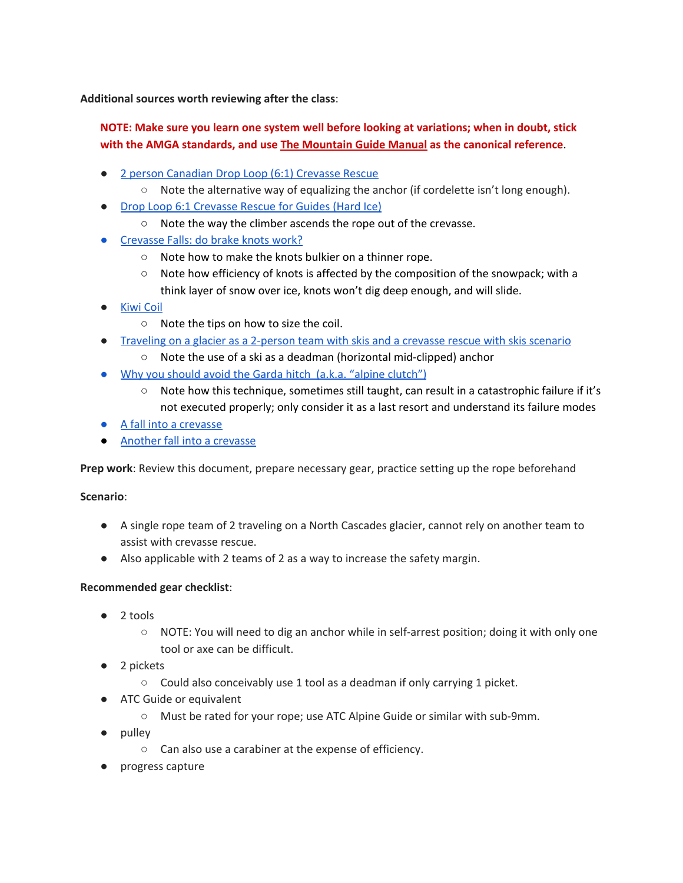**Additional sources worth reviewing after the class**:

# **NOTE: Make sure you learn one system well before looking at variations; when in doubt, stick with the AMGA standards, and use The [Mountain](http://www.chauvinguides.com/the-book/) Guide Manual as the canonical reference**.

- 2 person [Canadian](https://www.youtube.com/watch?v=irouAihAj7E) Drop Loop (6:1) Crevasse Rescue
	- Note the alternative way of equalizing the anchor (if cordelette isn't long enough).
- **Drop Loop 6:1 [Crevasse](https://www.youtube.com/watch?v=It4ehIqvbjs) Rescue for Guides (Hard Ice)** 
	- Note the way the climber ascends the rope out of the crevasse.
- [Crevasse](https://www.youtube.com/watch?v=IgNR-VZMwHo) Falls: do brake knots work?
	- Note how to make the knots bulkier on a thinner rope.
	- $\circ$  Note how efficiency of knots is affected by the composition of the snowpack; with a think layer of snow over ice, knots won't dig deep enough, and will slide.
- **[Kiwi](https://www.youtube.com/watch?v=WMDMkxC3DtA) Coil** 
	- Note the tips on how to size the coil.
- [Traveling](https://www.youtube.com/watch?v=z93_oX7fjM8) on a glacier as a 2-person team with skis and a crevasse rescue with skis scenario
	- Note the use of a ski as a deadman (horizontal mid-clipped) anchor
- Why you should avoid the Garda hitch (a.k.a. "alpine [clutch"\)](https://www.youtube.com/watch?v=AK8LA6ZXr34&t=75s)
	- Note how this technique, sometimes still taught, can result in a catastrophic failure if it's not executed properly; only consider it as a last resort and understand its failure modes
- A fall into a [crevasse](https://www.youtube.com/watch?v=OvjUUgJgxJ4)
- Another fall into a [crevasse](https://www.youtube.com/watch?v=ApenWPEO_Ro)

**Prep work**: Review this document, prepare necessary gear, practice setting up the rope beforehand

**Scenario**:

- A single rope team of 2 traveling on a North Cascades glacier, cannot rely on another team to assist with crevasse rescue.
- Also applicable with 2 teams of 2 as a way to increase the safety margin.

#### **Recommended gear checklist**:

- 2 tools
	- NOTE: You will need to dig an anchor while in self-arrest position; doing it with only one tool or axe can be difficult.
- 2 pickets
	- $\circ$  Could also conceivably use 1 tool as a deadman if only carrying 1 picket.
- ATC Guide or equivalent
	- Must be rated for your rope; use ATC Alpine Guide or similar with sub-9mm.
- pulley
	- Can also use a carabiner at the expense of efficiency.
- progress capture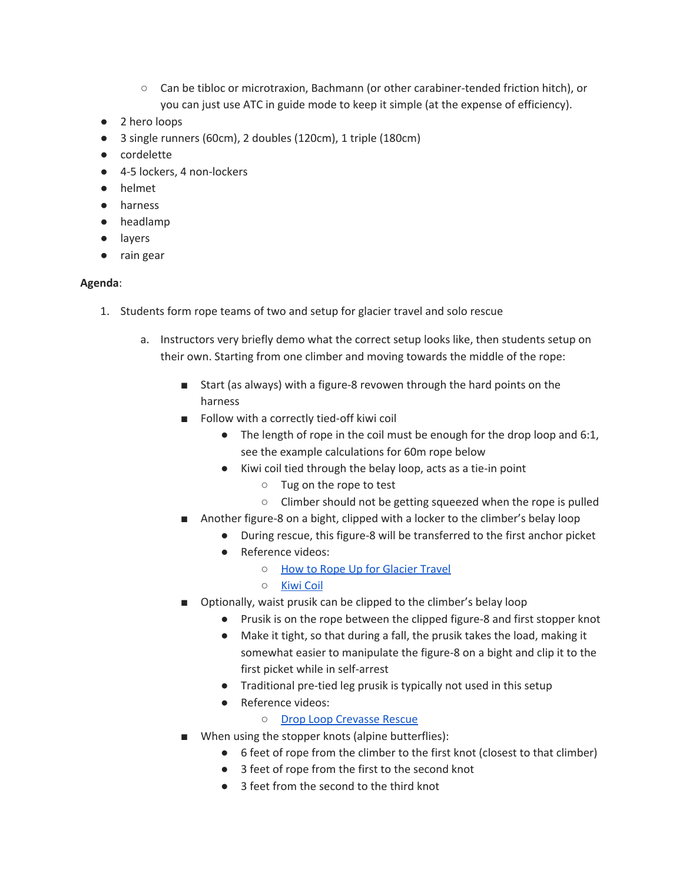- Can be tibloc or microtraxion, Bachmann (or other carabiner-tended friction hitch), or you can just use ATC in guide mode to keep it simple (at the expense of efficiency).
- 2 hero loops
- 3 single runners (60cm), 2 doubles (120cm), 1 triple (180cm)
- cordelette
- 4-5 lockers, 4 non-lockers
- helmet
- harness
- headlamp
- layers
- rain gear

#### **Agenda**:

- 1. Students form rope teams of two and setup for glacier travel and solo rescue
	- a. Instructors very briefly demo what the correct setup looks like, then students setup on their own. Starting from one climber and moving towards the middle of the rope:
		- Start (as always) with a figure-8 revowen through the hard points on the harness
		- Follow with a correctly tied-off kiwi coil
			- The length of rope in the coil must be enough for the drop loop and 6:1, see the example calculations for 60m rope below
			- Kiwi coil tied through the belay loop, acts as a tie-in point
				- Tug on the rope to test
				- Climber should not be getting squeezed when the rope is pulled
		- Another figure-8 on a bight, clipped with a locker to the climber's belay loop
			- During rescue, this figure-8 will be transferred to the first anchor picket
			- Reference videos:
				- How to Rope Up for [Glacier](https://www.youtube.com/watch?v=QwBOLjin67U) Travel
				- [Kiwi](https://www.youtube.com/watch?v=WMDMkxC3DtA) Coil
		- Optionally, waist prusik can be clipped to the climber's belay loop
			- Prusik is on the rope between the clipped figure-8 and first stopper knot
			- Make it tight, so that during a fall, the prusik takes the load, making it somewhat easier to manipulate the figure-8 on a bight and clip it to the first picket while in self-arrest
			- Traditional pre-tied leg prusik is typically not used in this setup
			- Reference videos:
				- Drop Loop [Crevasse](https://www.youtube.com/watch?v=azNTmiQCS7M) Rescue
		- When using the stopper knots (alpine butterflies):
			- 6 feet of rope from the climber to the first knot (closest to that climber)
			- 3 feet of rope from the first to the second knot
			- 3 feet from the second to the third knot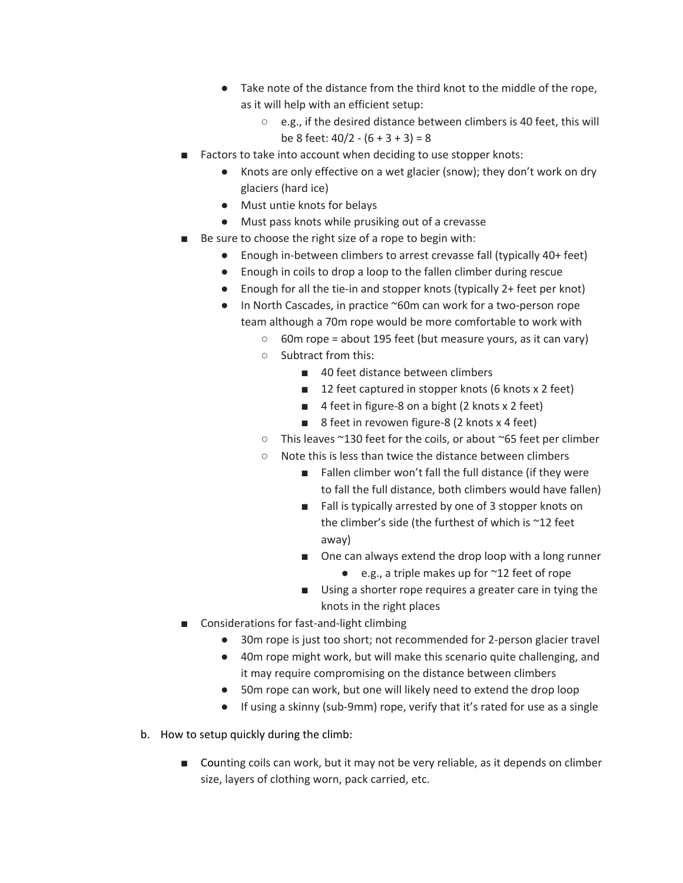- Take note of the distance from the third knot to the middle of the rope, as it will help with an efficient setup:
	- e.g., if the desired distance between climbers is 40 feet, this will be 8 feet:  $40/2 - (6 + 3 + 3) = 8$
- Factors to take into account when deciding to use stopper knots:
	- Knots are only effective on a wet glacier (snow); they don't work on dry glaciers (hard ice)
	- Must untie knots for belays
	- Must pass knots while prusiking out of a crevasse
- Be sure to choose the right size of a rope to begin with:
	- Enough in-between climbers to arrest crevasse fall (typically 40+ feet)
	- Enough in coils to drop a loop to the fallen climber during rescue
	- Enough for all the tie-in and stopper knots (typically 2+ feet per knot)
	- In North Cascades, in practice ~60m can work for a two-person rope team although a 70m rope would be more comfortable to work with
		- $\circ$  60m rope = about 195 feet (but measure yours, as it can vary)
		- Subtract from this:
			- 40 feet distance between climbers
			- 12 feet captured in stopper knots (6 knots x 2 feet)
			- 4 feet in figure-8 on a bight (2 knots x 2 feet)
			- 8 feet in revowen figure-8 (2 knots x 4 feet)
		- This leaves ~130 feet for the coils, or about ~65 feet per climber
		- Note this is less than twice the distance between climbers
			- Fallen climber won't fall the full distance (if they were to fall the full distance, both climbers would have fallen)
			- Fall is typically arrested by one of 3 stopper knots on the climber's side (the furthest of which is ~12 feet away)
			- One can always extend the drop loop with a long runner
				- $\bullet$  e.g., a triple makes up for  $\sim$ 12 feet of rope
			- Using a shorter rope requires a greater care in tying the knots in the right places
- Considerations for fast-and-light climbing
	- 30m rope is just too short; not recommended for 2-person glacier travel
	- 40m rope might work, but will make this scenario quite challenging, and it may require compromising on the distance between climbers
	- 50m rope can work, but one will likely need to extend the drop loop
	- If using a skinny (sub-9mm) rope, verify that it's rated for use as a single
- b. How to setup quickly during the climb:
	- Counting coils can work, but it may not be very reliable, as it depends on climber size, layers of clothing worn, pack carried, etc.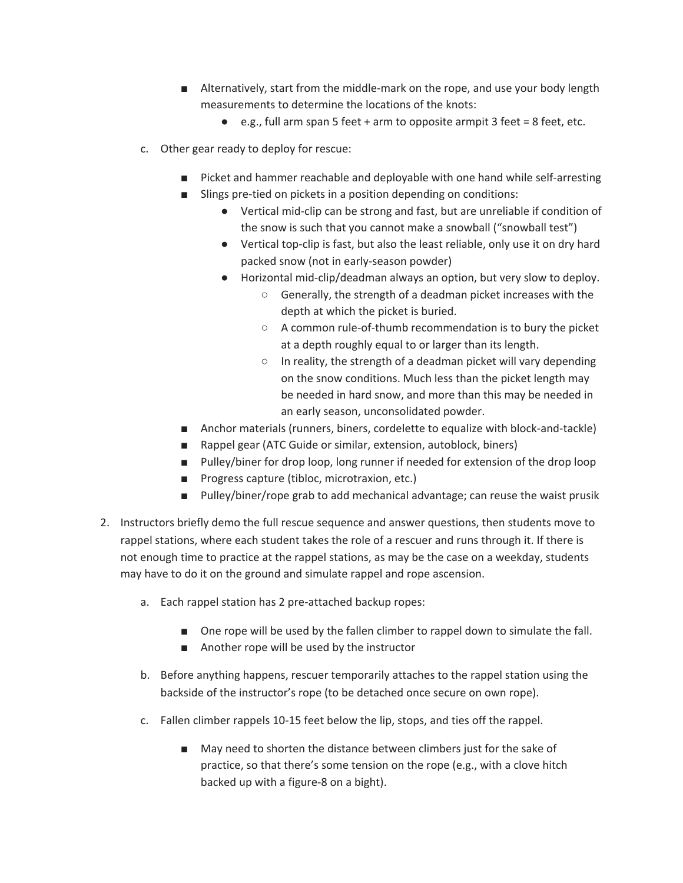- Alternatively, start from the middle-mark on the rope, and use your body length measurements to determine the locations of the knots:
	- e.g., full arm span 5 feet + arm to opposite armpit 3 feet = 8 feet, etc.
- c. Other gear ready to deploy for rescue:
	- Picket and hammer reachable and deployable with one hand while self-arresting
	- Slings pre-tied on pickets in a position depending on conditions:
		- Vertical mid-clip can be strong and fast, but are unreliable if condition of the snow is such that you cannot make a snowball ("snowball test")
		- Vertical top-clip is fast, but also the least reliable, only use it on dry hard packed snow (not in early-season powder)
		- Horizontal mid-clip/deadman always an option, but very slow to deploy.
			- Generally, the strength of a deadman picket increases with the depth at which the picket is buried.
			- A common rule-of-thumb recommendation is to bury the picket at a depth roughly equal to or larger than its length.
			- In reality, the strength of a deadman picket will vary depending on the snow conditions. Much less than the picket length may be needed in hard snow, and more than this may be needed in an early season, unconsolidated powder.
	- Anchor materials (runners, biners, cordelette to equalize with block-and-tackle)
	- Rappel gear (ATC Guide or similar, extension, autoblock, biners)
	- Pulley/biner for drop loop, long runner if needed for extension of the drop loop
	- Progress capture (tibloc, microtraxion, etc.)
	- Pulley/biner/rope grab to add mechanical advantage; can reuse the waist prusik
- 2. Instructors briefly demo the full rescue sequence and answer questions, then students move to rappel stations, where each student takes the role of a rescuer and runs through it. If there is not enough time to practice at the rappel stations, as may be the case on a weekday, students may have to do it on the ground and simulate rappel and rope ascension.
	- a. Each rappel station has 2 pre-attached backup ropes:
		- One rope will be used by the fallen climber to rappel down to simulate the fall.
		- Another rope will be used by the instructor
	- b. Before anything happens, rescuer temporarily attaches to the rappel station using the backside of the instructor's rope (to be detached once secure on own rope).
	- c. Fallen climber rappels 10-15 feet below the lip, stops, and ties off the rappel.
		- May need to shorten the distance between climbers just for the sake of practice, so that there's some tension on the rope (e.g., with a clove hitch backed up with a figure-8 on a bight).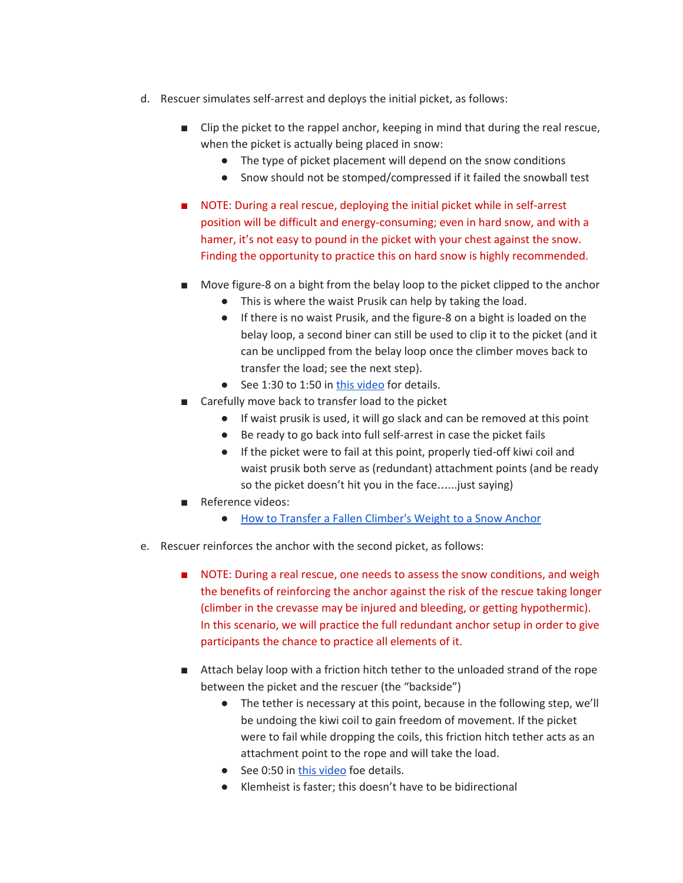- d. Rescuer simulates self-arrest and deploys the initial picket, as follows:
	- Clip the picket to the rappel anchor, keeping in mind that during the real rescue, when the picket is actually being placed in snow:
		- The type of picket placement will depend on the snow conditions
		- Snow should not be stomped/compressed if it failed the snowball test
	- NOTE: During a real rescue, deploying the initial picket while in self-arrest position will be difficult and energy-consuming; even in hard snow, and with a hamer, it's not easy to pound in the picket with your chest against the snow. Finding the opportunity to practice this on hard snow is highly recommended.
	- Move figure-8 on a bight from the belay loop to the picket clipped to the anchor
		- This is where the waist Prusik can help by taking the load.
		- If there is no waist Prusik, and the figure-8 on a bight is loaded on the belay loop, a second biner can still be used to clip it to the picket (and it can be unclipped from the belay loop once the climber moves back to transfer the load; see the next step).
		- See 1:30 to 1:50 in this [video](https://www.youtube.com/watch?v=bDcUnocXhpw) for details.
	- Carefully move back to transfer load to the picket
		- If waist prusik is used, it will go slack and can be removed at this point
		- Be ready to go back into full self-arrest in case the picket fails
		- If the picket were to fail at this point, properly tied-off kiwi coil and waist prusik both serve as (redundant) attachment points (and be ready so the picket doesn't hit you in the face…...just saying)
	- Reference videos:
		- How to Transfer a Fallen [Climber's](https://www.youtube.com/watch?v=bDcUnocXhpw) Weight to a Snow Anchor
- e. Rescuer reinforces the anchor with the second picket, as follows:
	- NOTE: During a real rescue, one needs to assess the snow conditions, and weigh the benefits of reinforcing the anchor against the risk of the rescue taking longer (climber in the crevasse may be injured and bleeding, or getting hypothermic). In this scenario, we will practice the full redundant anchor setup in order to give participants the chance to practice all elements of it.
	- Attach belay loop with a friction hitch tether to the unloaded strand of the rope between the picket and the rescuer (the "backside")
		- The tether is necessary at this point, because in the following step, we'll be undoing the kiwi coil to gain freedom of movement. If the picket were to fail while dropping the coils, this friction hitch tether acts as an attachment point to the rope and will take the load.
		- See 0:50 in this [video](https://www.youtube.com/watch?v=ACGWb8tGYxs) foe details.
		- Klemheist is faster; this doesn't have to be bidirectional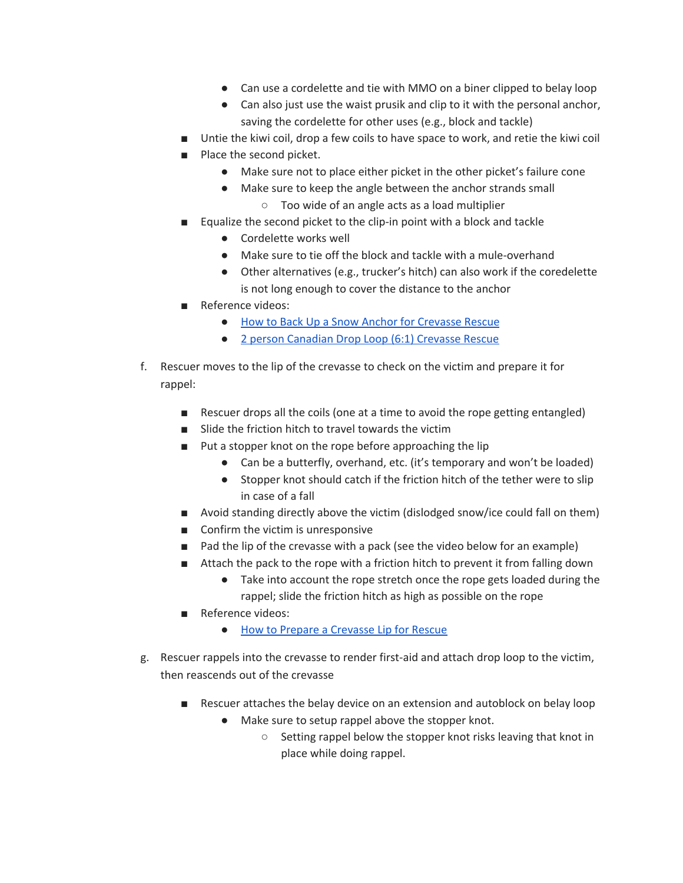- Can use a cordelette and tie with MMO on a biner clipped to belay loop
- Can also just use the waist prusik and clip to it with the personal anchor, saving the cordelette for other uses (e.g., block and tackle)
- Untie the kiwi coil, drop a few coils to have space to work, and retie the kiwi coil
- Place the second picket.
	- Make sure not to place either picket in the other picket's failure cone
	- Make sure to keep the angle between the anchor strands small
		- Too wide of an angle acts as a load multiplier
- Equalize the second picket to the clip-in point with a block and tackle
	- Cordelette works well
	- Make sure to tie off the block and tackle with a mule-overhand
	- Other alternatives (e.g., trucker's hitch) can also work if the coredelette is not long enough to cover the distance to the anchor
- Reference videos:
	- How to Back Up a Snow Anchor for [Crevasse](https://www.youtube.com/watch?v=ACGWb8tGYxs) Rescue
	- 2 person [Canadian](https://www.youtube.com/watch?v=irouAihAj7E) Drop Loop (6:1) Crevasse Rescue
- f. Rescuer moves to the lip of the crevasse to check on the victim and prepare it for rappel:
	- Rescuer drops all the coils (one at a time to avoid the rope getting entangled)
	- Slide the friction hitch to travel towards the victim
	- Put a stopper knot on the rope before approaching the lip
		- Can be a butterfly, overhand, etc. (it's temporary and won't be loaded)
		- Stopper knot should catch if the friction hitch of the tether were to slip in case of a fall
	- Avoid standing directly above the victim (dislodged snow/ice could fall on them)
	- Confirm the victim is unresponsive
	- Pad the lip of the crevasse with a pack (see the video below for an example)
	- Attach the pack to the rope with a friction hitch to prevent it from falling down
		- Take into account the rope stretch once the rope gets loaded during the rappel; slide the friction hitch as high as possible on the rope
	- Reference videos:
		- How to Prepare a [Crevasse](https://www.youtube.com/watch?v=GhBOnQHeGR0) Lip for Rescue
- g. Rescuer rappels into the crevasse to render first-aid and attach drop loop to the victim, then reascends out of the crevasse
	- Rescuer attaches the belay device on an extension and autoblock on belay loop
		- Make sure to setup rappel above the stopper knot.
			- Setting rappel below the stopper knot risks leaving that knot in place while doing rappel.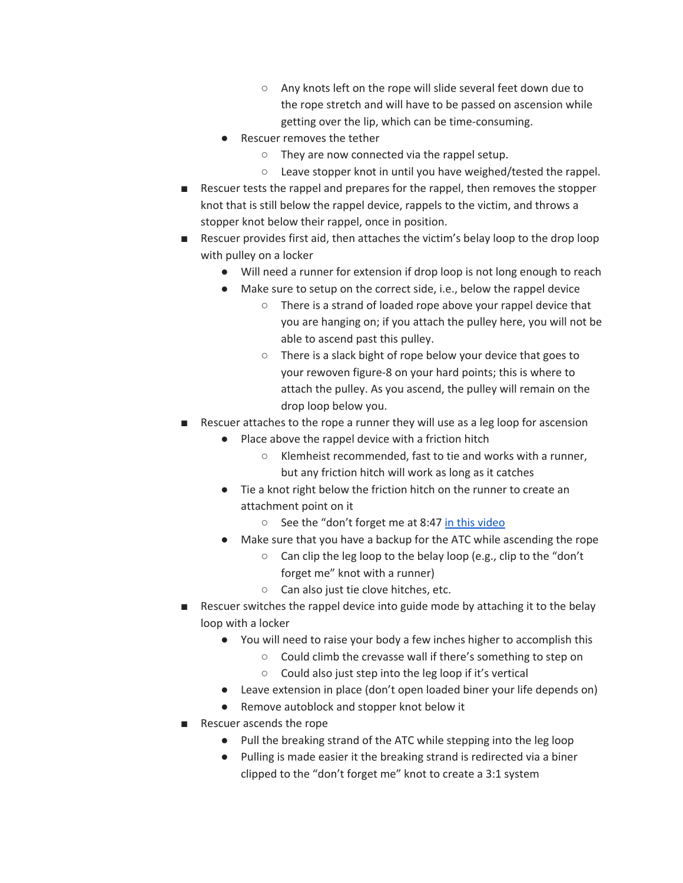- Any knots left on the rope will slide several feet down due to the rope stretch and will have to be passed on ascension while getting over the lip, which can be time-consuming.
- Rescuer removes the tether
	- They are now connected via the rappel setup.
	- Leave stopper knot in until you have weighed/tested the rappel.
- Rescuer tests the rappel and prepares for the rappel, then removes the stopper knot that is still below the rappel device, rappels to the victim, and throws a stopper knot below their rappel, once in position.
- Rescuer provides first aid, then attaches the victim's belay loop to the drop loop with pulley on a locker
	- Will need a runner for extension if drop loop is not long enough to reach
	- Make sure to setup on the correct side, i.e., below the rappel device
		- There is a strand of loaded rope above your rappel device that you are hanging on; if you attach the pulley here, you will not be able to ascend past this pulley.
		- There is a slack bight of rope below your device that goes to your rewoven figure-8 on your hard points; this is where to attach the pulley. As you ascend, the pulley will remain on the drop loop below you.
- Rescuer attaches to the rope a runner they will use as a leg loop for ascension
	- Place above the rappel device with a friction hitch
		- Klemheist recommended, fast to tie and works with a runner, but any friction hitch will work as long as it catches
	- Tie a knot right below the friction hitch on the runner to create an attachment point on it
		- See the "don't forget me at 8:47 in this [video](https://www.youtube.com/watch?v=It4ehIqvbjs)
	- Make sure that you have a backup for the ATC while ascending the rope
		- $\circ$  Can clip the leg loop to the belay loop (e.g., clip to the "don't forget me" knot with a runner)
		- Can also just tie clove hitches, etc.
- Rescuer switches the rappel device into guide mode by attaching it to the belay loop with a locker
	- You will need to raise your body a few inches higher to accomplish this
		- Could climb the crevasse wall if there's something to step on
		- Could also just step into the leg loop if it's vertical
	- Leave extension in place (don't open loaded biner your life depends on)
	- Remove autoblock and stopper knot below it
- Rescuer ascends the rope
	- Pull the breaking strand of the ATC while stepping into the leg loop
	- Pulling is made easier it the breaking strand is redirected via a biner clipped to the "don't forget me" knot to create a 3:1 system